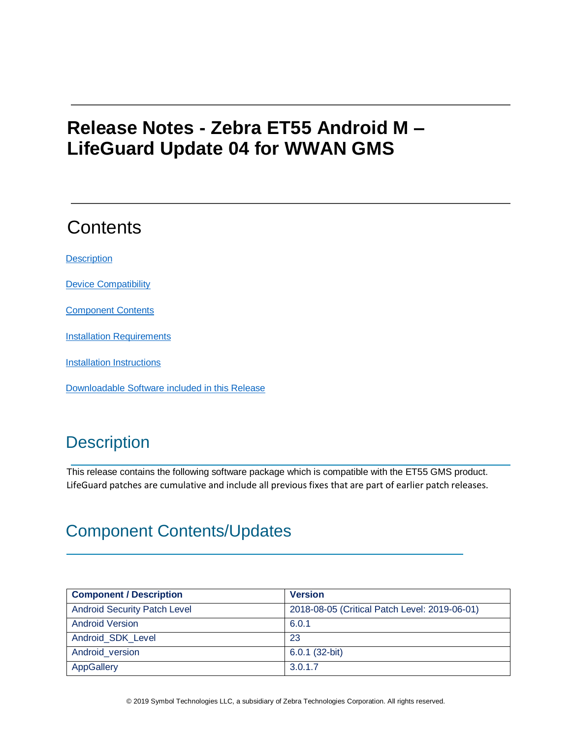# **Release Notes - Zebra ET55 Android M – LifeGuard Update 04 for WWAN GMS**

# **Contents**

**[Description](#page-0-0)** 

[Device Compatibility](#page-3-0)

[Component Contents](#page-0-1)

**[Installation Requirements](#page-3-1)** 

[Installation Instructions](#page-3-2)

[Downloadable Software included in this Release](#page-5-0)

### <span id="page-0-0"></span>**Description**

This release contains the following software package which is compatible with the ET55 GMS product. LifeGuard patches are cumulative and include all previous fixes that are part of earlier patch releases.

### <span id="page-0-1"></span>Component Contents/Updates

| <b>Component / Description</b>      | <b>Version</b>                                |
|-------------------------------------|-----------------------------------------------|
| <b>Android Security Patch Level</b> | 2018-08-05 (Critical Patch Level: 2019-06-01) |
| <b>Android Version</b>              | 6.0.1                                         |
| Android SDK Level                   | 23                                            |
| Android version                     | $6.0.1$ (32-bit)                              |
| <b>AppGallery</b>                   | 3.0.1.7                                       |

© 2019 Symbol Technologies LLC, a subsidiary of Zebra Technologies Corporation. All rights reserved.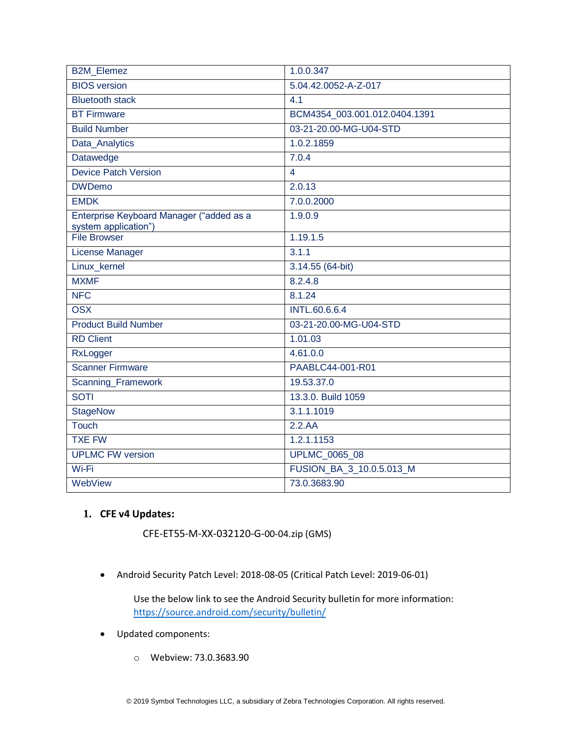| <b>B2M Elemez</b>                                                | 1.0.0.347                     |
|------------------------------------------------------------------|-------------------------------|
| <b>BIOS</b> version                                              | 5.04.42.0052-A-Z-017          |
| <b>Bluetooth stack</b>                                           | 4.1                           |
| <b>BT Firmware</b>                                               | BCM4354_003.001.012.0404.1391 |
| <b>Build Number</b>                                              | 03-21-20.00-MG-U04-STD        |
| Data_Analytics                                                   | 1.0.2.1859                    |
| Datawedge                                                        | 7.0.4                         |
| Device Patch Version                                             | $\overline{4}$                |
| <b>DWDemo</b>                                                    | 2.0.13                        |
| <b>EMDK</b>                                                      | 7.0.0.2000                    |
| Enterprise Keyboard Manager ("added as a<br>system application") | 1.9.0.9                       |
| File Browser                                                     | 1.19.1.5                      |
| <b>License Manager</b>                                           | 3.1.1                         |
| Linux_kernel                                                     | 3.14.55 (64-bit)              |
| <b>MXMF</b>                                                      | 8.2.4.8                       |
| <b>NFC</b>                                                       | 8.1.24                        |
| <b>OSX</b>                                                       | <b>INTL.60.6.6.4</b>          |
| <b>Product Build Number</b>                                      | 03-21-20.00-MG-U04-STD        |
| <b>RD Client</b>                                                 | 1.01.03                       |
| RxLogger                                                         | 4.61.0.0                      |
| <b>Scanner Firmware</b>                                          | PAABLC44-001-R01              |
| Scanning_Framework                                               | 19.53.37.0                    |
| <b>SOTI</b>                                                      | 13.3.0. Build 1059            |
| <b>StageNow</b>                                                  | 3.1.1.1019                    |
| Touch                                                            | 2.2.AA                        |
| <b>TXE FW</b>                                                    | 1.2.1.1153                    |
| <b>UPLMC FW version</b>                                          | <b>UPLMC_0065_08</b>          |
| Wi-Fi                                                            | FUSION BA 3 10.0.5.013 M      |
| WebView                                                          | 73.0.3683.90                  |

### **1. CFE v4 Updates:**

CFE-ET55-M-XX-032120-G-00-04.zip (GMS)

• Android Security Patch Level: 2018-08-05 (Critical Patch Level: 2019-06-01)

Use the below link to see the Android Security bulletin for more information: <https://source.android.com/security/bulletin/>

- Updated components:
	- o Webview: 73.0.3683.90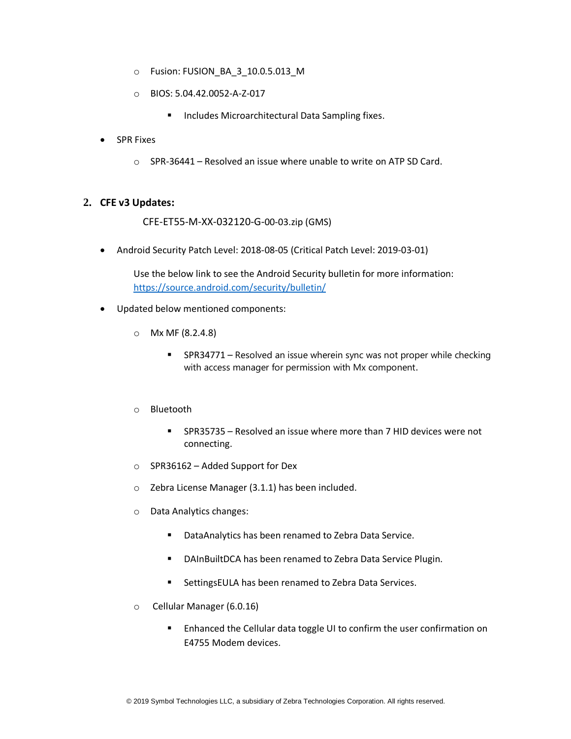- o Fusion: FUSION\_BA\_3\_10.0.5.013\_M
- o BIOS: 5.04.42.0052-A-Z-017
	- Includes Microarchitectural Data Sampling fixes.
- SPR Fixes
	- o SPR-36441 Resolved an issue where unable to write on ATP SD Card.

#### **2. CFE v3 Updates:**

CFE-ET55-M-XX-032120-G-00-03.zip (GMS)

• Android Security Patch Level: 2018-08-05 (Critical Patch Level: 2019-03-01)

Use the below link to see the Android Security bulletin for more information: <https://source.android.com/security/bulletin/>

- Updated below mentioned components:
	- o Mx MF (8.2.4.8)
		- SPR34771 Resolved an issue wherein sync was not proper while checking with access manager for permission with Mx component.
	- o Bluetooth
		- SPR35735 Resolved an issue where more than 7 HID devices were not connecting.
	- o SPR36162 Added Support for Dex
	- o Zebra License Manager (3.1.1) has been included.
	- o Data Analytics changes:
		- DataAnalytics has been renamed to Zebra Data Service.
		- DAInBuiltDCA has been renamed to Zebra Data Service Plugin.
		- SettingsEULA has been renamed to Zebra Data Services.
	- o Cellular Manager (6.0.16)
		- Enhanced the Cellular data toggle UI to confirm the user confirmation on E4755 Modem devices.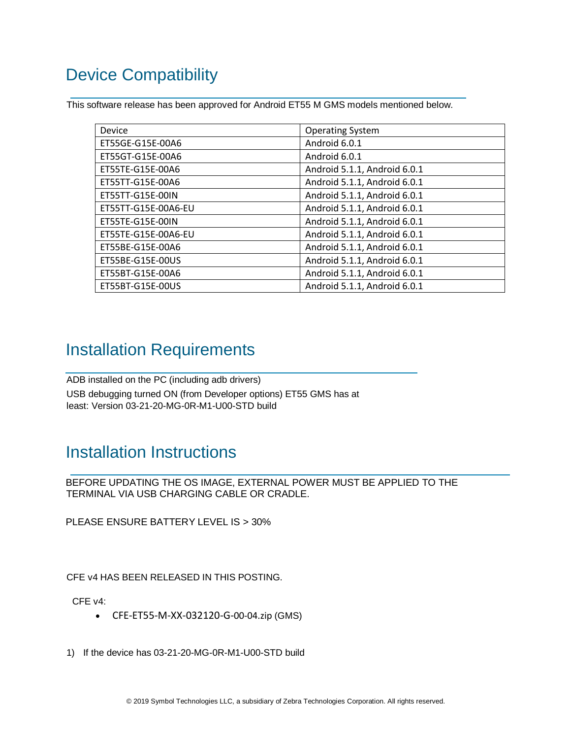## <span id="page-3-0"></span>Device Compatibility

This software release has been approved for Android ET55 M GMS models mentioned below.

| Device              | <b>Operating System</b>      |
|---------------------|------------------------------|
| ET55GE-G15E-00A6    | Android 6.0.1                |
| ET55GT-G15E-00A6    | Android 6.0.1                |
| ET55TE-G15E-00A6    | Android 5.1.1, Android 6.0.1 |
| ET55TT-G15E-00A6    | Android 5.1.1, Android 6.0.1 |
| ET55TT-G15E-00IN    | Android 5.1.1, Android 6.0.1 |
| ET55TT-G15E-00A6-EU | Android 5.1.1, Android 6.0.1 |
| ET55TE-G15E-00IN    | Android 5.1.1, Android 6.0.1 |
| ET55TE-G15E-00A6-EU | Android 5.1.1, Android 6.0.1 |
| ET55BE-G15E-00A6    | Android 5.1.1, Android 6.0.1 |
| ET55BE-G15E-00US    | Android 5.1.1, Android 6.0.1 |
| ET55BT-G15E-00A6    | Android 5.1.1, Android 6.0.1 |
| ET55BT-G15E-00US    | Android 5.1.1, Android 6.0.1 |

### <span id="page-3-1"></span>Installation Requirements

ADB installed on the PC (including adb drivers) USB debugging turned ON (from Developer options) ET55 GMS has at least: Version 03-21-20-MG-0R-M1-U00-STD build

## <span id="page-3-2"></span>Installation Instructions

BEFORE UPDATING THE OS IMAGE, EXTERNAL POWER MUST BE APPLIED TO THE TERMINAL VIA USB CHARGING CABLE OR CRADLE.

PLEASE ENSURE BATTERY LEVEL IS > 30%

CFE v4 HAS BEEN RELEASED IN THIS POSTING.

CFE v4:

- CFE-ET55-M-XX-032120-G-00-04.zip (GMS)
- 1) If the device has 03-21-20-MG-0R-M1-U00-STD build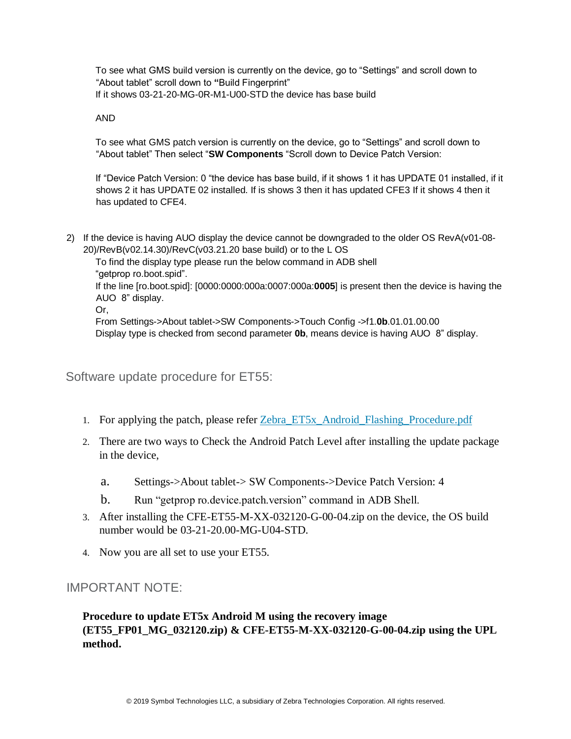To see what GMS build version is currently on the device, go to "Settings" and scroll down to "About tablet" scroll down to **"**Build Fingerprint" If it shows 03-21-20-MG-0R-M1-U00-STD the device has base build

#### AND

To see what GMS patch version is currently on the device, go to "Settings" and scroll down to "About tablet" Then select "**SW Components** "Scroll down to Device Patch Version:

If "Device Patch Version: 0 "the device has base build, if it shows 1 it has UPDATE 01 installed, if it shows 2 it has UPDATE 02 installed. If is shows 3 then it has updated CFE3 If it shows 4 then it has updated to CFE4.

2) If the device is having AUO display the device cannot be downgraded to the older OS RevA(v01-08- 20)/RevB(v02.14.30)/RevC(v03.21.20 base build) or to the L OS

To find the display type please run the below command in ADB shell "getprop ro.boot.spid".

If the line [ro.boot.spid]: [0000:0000:000a:0007:000a:**0005**] is present then the device is having the AUO 8" display.

Or,

From Settings->About tablet->SW Components->Touch Config ->f1.**0b**.01.01.00.00 Display type is checked from second parameter **0b**, means device is having AUO 8" display.

Software update procedure for ET55:

- 1. Fo[r](https://www.zebra.com/content/dam/zebra_new_ia/en-us/software/operating-system/ET5X%20Operating%20System/Zebra-ET5x-Android-Flashing-Procedure.pdf) applying the patch, please refer [Zebra\\_ET5x\\_Android\\_Flashing\\_Procedure.pdf](https://www.zebra.com/content/dam/zebra_new_ia/en-us/software/operating-system/ET5X%20Operating%20System/Zebra-ET5x-Android-Flashing-Procedure.pdf)
- 2. There are two ways to Check the Android Patch Level after installing the update package in the device,
	- a. Settings->About tablet-> SW Components->Device Patch Version: 4
	- b. Run "getprop ro.device.patch.version" command in ADB Shell.
- 3. After installing the CFE-ET55-M-XX-032120-G-00-04.zip on the device, the OS build number would be 03-21-20.00-MG-U04-STD.
- 4. Now you are all set to use your ET55.

### IMPORTANT NOTE:

### **Procedure to update ET5x Android M using the recovery image (ET55\_FP01\_MG\_032120.zip) & CFE-ET55-M-XX-032120-G-00-04.zip using the UPL method.**